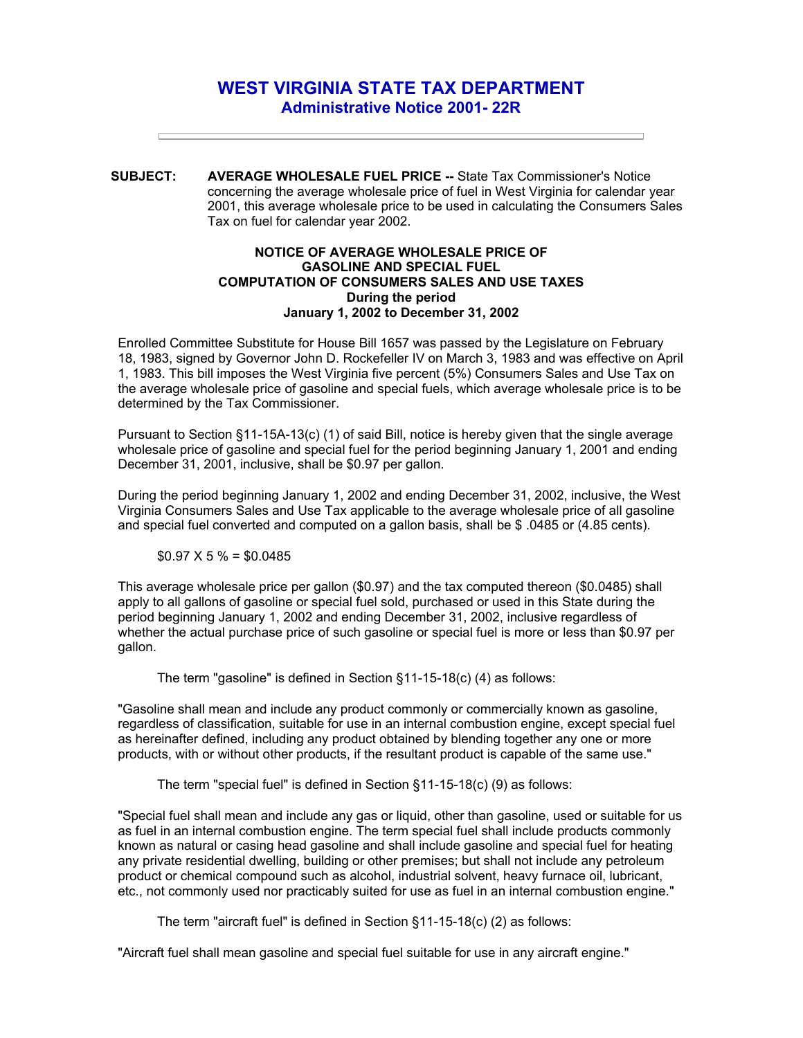## **WEST VIRGINIA STATE TAX DEPARTMENT Administrative Notice 2001- 22R**

**SUBJECT: AVERAGE WHOLESALE FUEL PRICE --** State Tax Commissioner's Notice concerning the average wholesale price of fuel in West Virginia for calendar year 2001, this average wholesale price to be used in calculating the Consumers Sales Tax on fuel for calendar year 2002.

## **NOTICE OF AVERAGE WHOLESALE PRICE OF GASOLINE AND SPECIAL FUEL COMPUTATION OF CONSUMERS SALES AND USE TAXES During the period January 1, 2002 to December 31, 2002**

Enrolled Committee Substitute for House Bill 1657 was passed by the Legislature on February 18, 1983, signed by Governor John D. Rockefeller IV on March 3, 1983 and was effective on April 1, 1983. This bill imposes the West Virginia five percent (5%) Consumers Sales and Use Tax on the average wholesale price of gasoline and special fuels, which average wholesale price is to be determined by the Tax Commissioner.

Pursuant to Section §11-15A-13(c) (1) of said Bill, notice is hereby given that the single average wholesale price of gasoline and special fuel for the period beginning January 1, 2001 and ending December 31, 2001, inclusive, shall be \$0.97 per gallon.

During the period beginning January 1, 2002 and ending December 31, 2002, inclusive, the West Virginia Consumers Sales and Use Tax applicable to the average wholesale price of all gasoline and special fuel converted and computed on a gallon basis, shall be \$ .0485 or (4.85 cents).

## $$0.97 \times 5\% = $0.0485$

This average wholesale price per gallon (\$0.97) and the tax computed thereon (\$0.0485) shall apply to all gallons of gasoline or special fuel sold, purchased or used in this State during the period beginning January 1, 2002 and ending December 31, 2002, inclusive regardless of whether the actual purchase price of such gasoline or special fuel is more or less than \$0.97 per gallon.

The term "gasoline" is defined in Section §11-15-18(c) (4) as follows:

"Gasoline shall mean and include any product commonly or commercially known as gasoline, regardless of classification, suitable for use in an internal combustion engine, except special fuel as hereinafter defined, including any product obtained by blending together any one or more products, with or without other products, if the resultant product is capable of the same use."

The term "special fuel" is defined in Section §11-15-18(c) (9) as follows:

"Special fuel shall mean and include any gas or liquid, other than gasoline, used or suitable for us as fuel in an internal combustion engine. The term special fuel shall include products commonly known as natural or casing head gasoline and shall include gasoline and special fuel for heating any private residential dwelling, building or other premises; but shall not include any petroleum product or chemical compound such as alcohol, industrial solvent, heavy furnace oil, lubricant, etc., not commonly used nor practicably suited for use as fuel in an internal combustion engine."

The term "aircraft fuel" is defined in Section §11-15-18(c) (2) as follows:

"Aircraft fuel shall mean gasoline and special fuel suitable for use in any aircraft engine."